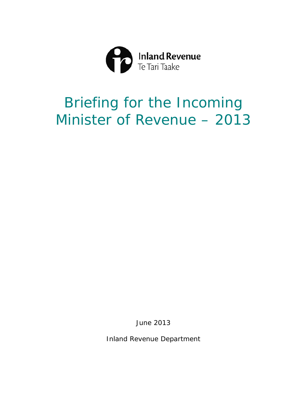

# Minister of Revenue - 2013 Briefing for the Incoming

June 2013

Inland Revenue Department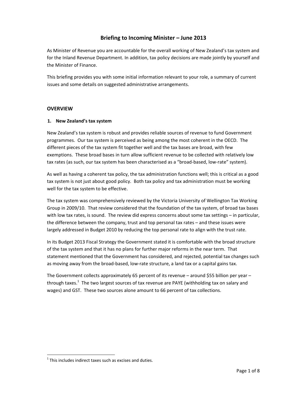## **Briefing to Incoming Minister – June 2013**

As Minister of Revenue you are accountable for the overall working of New Zealand's tax system and for the Inland Revenue Department. In addition, tax policy decisions are made jointly by yourself and the Minister of Finance.

This briefing provides you with some initial information relevant to your role, a summary of current issues and some details on suggested administrative arrangements.

### **OVERVIEW**

#### **1. New Zealand's tax system**

New Zealand's tax system is robust and provides reliable sources of revenue to fund Government programmes. Our tax system is perceived as being among the most coherent in the OECD. The different pieces of the tax system fit together well and the tax bases are broad, with few exemptions. These broad bases in turn allow sufficient revenue to be collected with relatively low tax rates (as such, our tax system has been characterised as a "broad-based, low-rate" system).

As well as having a coherent tax policy, the tax administration functions well; this is critical as a good tax system is not just about good policy. Both tax policy and tax administration must be working well for the tax system to be effective.

The tax system was comprehensively reviewed by the Victoria University of Wellington Tax Working Group in 2009/10. That review considered that the foundation of the tax system, of broad tax bases with low tax rates, is sound. The review did express concerns about some tax settings - in particular, the difference between the company, trust and top personal tax rates – and these issues were largely addressed in Budget 2010 by reducing the top personal rate to align with the trust rate.

In its Budget 2013 Fiscal Strategy the Government stated it is comfortable with the broad structure of the tax system and that it has no plans for further major reforms in the near term. That statement mentioned that the Government has considered, and rejected, potential tax changes such as moving away from the broad‐based, low‐rate structure, a land tax or a capital gains tax.

The Government collects approximately 65 percent of its revenue – around \$55 billion per year – through taxes.<sup>1</sup> The two largest sources of tax revenue are PAYE (withholding tax on salary and wages) and GST. These two sources alone amount to 66 percent of tax collections.

 $1$ <sup>1</sup> This includes indirect taxes such as excises and duties.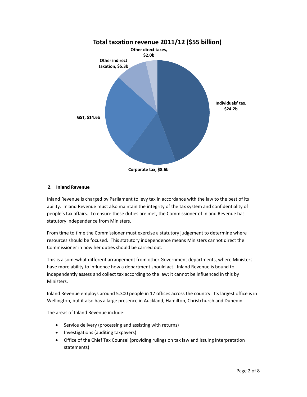

#### **2. Inland Revenue**

Inland Revenue is charged by Parliament to levy tax in accordance with the law to the best of its ability. Inland Revenue must also maintain the integrity of the tax system and confidentiality of people's tax affairs. To ensure these duties are met, the Commissioner of Inland Revenue has statutory independence from Ministers.

From time to time the Commissioner must exercise a statutory judgement to determine where resources should be focused. This statutory independence means Ministers cannot direct the Commissioner in how her duties should be carried out.

This is a somewhat different arrangement from other Government departments, where Ministers have more ability to influence how a department should act. Inland Revenue is bound to independently assess and collect tax according to the law; it cannot be influenced in this by Ministers.

Inland Revenue employs around 5,300 people in 17 offices across the country. Its largest office is in Wellington, but it also has a large presence in Auckland, Hamilton, Christchurch and Dunedin.

The areas of Inland Revenue include:

- Service delivery (processing and assisting with returns)
- Investigations (auditing taxpayers)
- Office of the Chief Tax Counsel (providing rulings on tax law and issuing interpretation statements)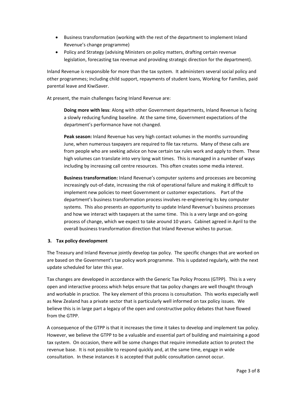- Business transformation (working with the rest of the department to implement Inland Revenue's change programme)
- Policy and Strategy (advising Ministers on policy matters, drafting certain revenue legislation, forecasting tax revenue and providing strategic direction for the department).

Inland Revenue is responsible for more than the tax system. It administers several social policy and other programmes; including child support, repayments of student loans, Working for Families, paid parental leave and KiwiSaver.

At present, the main challenges facing Inland Revenue are:

**Doing more with less**: Along with other Government departments, Inland Revenue is facing a slowly reducing funding baseline. At the same time, Government expectations of the department's performance have not changed.

**Peak season:** Inland Revenue has very high contact volumes in the months surrounding June, when numerous taxpayers are required to file tax returns. Many of these calls are from people who are seeking advice on how certain tax rules work and apply to them. These high volumes can translate into very long wait times. This is managed in a number of ways including by increasing call centre resources. This often creates some media interest.

**Business transformation:** Inland Revenue's computer systems and processes are becoming increasingly out‐of‐date, increasing the risk of operational failure and making it difficult to implement new policies to meet Government or customer expectations. Part of the department's business transformation process involves re‐engineering its key computer systems. This also presents an opportunity to update Inland Revenue's business processes and how we interact with taxpayers at the same time. This is a very large and on‐going process of change, which we expect to take around 10 years. Cabinet agreed in April to the overall business transformation direction that Inland Revenue wishes to pursue.

## **3. Tax policy development**

The Treasury and Inland Revenue jointly develop tax policy. The specific changes that are worked on are based on the Government's tax policy work programme. This is updated regularly, with the next update scheduled for later this year.

Tax changes are developed in accordance with the Generic Tax Policy Process (GTPP). This is a very open and interactive process which helps ensure that tax policy changes are well thought through and workable in practice. The key element of this process is consultation. This works especially well as New Zealand has a private sector that is particularly well informed on tax policy issues. We believe this is in large part a legacy of the open and constructive policy debates that have flowed from the GTPP.

A consequence of the GTPP is that it increases the time it takes to develop and implement tax policy. However, we believe the GTPP to be a valuable and essential part of building and maintaining a good tax system. On occasion, there will be some changes that require immediate action to protect the revenue base. It is not possible to respond quickly and, at the same time, engage in wide consultation. In these instances it is accepted that public consultation cannot occur.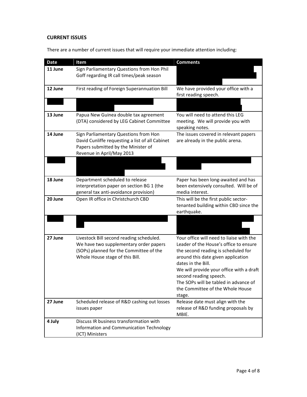## **CURRENT ISSUES**

There are a number of current issues that will require your immediate attention including:

| <b>Date</b> | Item                                                                                                                                                             | <b>Comments</b>                                                                                                                                                                                                                                                                                                                                    |
|-------------|------------------------------------------------------------------------------------------------------------------------------------------------------------------|----------------------------------------------------------------------------------------------------------------------------------------------------------------------------------------------------------------------------------------------------------------------------------------------------------------------------------------------------|
| 11 June     | Sign Parliamentary Questions from Hon Phil<br>Goff regarding IR call times/peak season                                                                           |                                                                                                                                                                                                                                                                                                                                                    |
| 12 June     | First reading of Foreign Superannuation Bill                                                                                                                     | We have provided your office with a<br>first reading speech.                                                                                                                                                                                                                                                                                       |
|             |                                                                                                                                                                  |                                                                                                                                                                                                                                                                                                                                                    |
| 13 June     | Papua New Guinea double tax agreement<br>(DTA) considered by LEG Cabinet Committee                                                                               | You will need to attend this LEG<br>meeting. We will provide you with<br>speaking notes.                                                                                                                                                                                                                                                           |
| 14 June     | Sign Parliamentary Questions from Hon<br>David Cunliffe requesting a list of all Cabinet<br>Papers submitted by the Minister of<br>Revenue in April/May 2013     | The issues covered in relevant papers<br>are already in the public arena.                                                                                                                                                                                                                                                                          |
|             |                                                                                                                                                                  |                                                                                                                                                                                                                                                                                                                                                    |
| 18 June     | Department scheduled to release<br>interpretation paper on section BG 1 (the<br>general tax anti-avoidance provision)                                            | Paper has been long-awaited and has<br>been extensively consulted. Will be of<br>media interest.                                                                                                                                                                                                                                                   |
| 20 June     | Open IR office in Christchurch CBD                                                                                                                               | This will be the first public sector-<br>tenanted building within CBD since the<br>earthquake.                                                                                                                                                                                                                                                     |
|             |                                                                                                                                                                  |                                                                                                                                                                                                                                                                                                                                                    |
| 27 June     | Livestock Bill second reading scheduled.<br>We have two supplementary order papers<br>(SOPs) planned for the Committee of the<br>Whole House stage of this Bill. | Your office will need to liaise with the<br>Leader of the House's office to ensure<br>the second reading is scheduled for<br>around this date given application<br>dates in the Bill.<br>We will provide your office with a draft<br>second reading speech.<br>The SOPs will be tabled in advance of<br>the Committee of the Whole House<br>stage. |
| 27 June     | Scheduled release of R&D cashing out losses<br>issues paper                                                                                                      | Release date must align with the<br>release of R&D funding proposals by<br>MBIE.                                                                                                                                                                                                                                                                   |
| 4 July      | Discuss IR business transformation with<br>Information and Communication Technology<br>(ICT) Ministers                                                           |                                                                                                                                                                                                                                                                                                                                                    |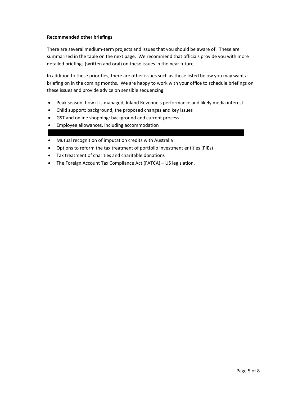#### **Recommended other briefings**

There are several medium‐term projects and issues that you should be aware of. These are summarised in the table on the next page. We recommend that officials provide you with more detailed briefings (written and oral) on these issues in the near future.

In addition to these priorities, there are other issues such as those listed below you may want a briefing on in the coming months. We are happy to work with your office to schedule briefings on these issues and provide advice on sensible sequencing.

- Peak season: how it is managed, Inland Revenue's performance and likely media interest
- Child support: background, the proposed changes and key issues
- GST and online shopping: background and current process
- Employee allowances, including accommodation
- Mutual recognition of imputation credits with Australia
- Options to reform the tax treatment of portfolio investment entities (PIEs)
- Tax treatment of charities and charitable donations
- The Foreign Account Tax Compliance Act (FATCA) US legislation.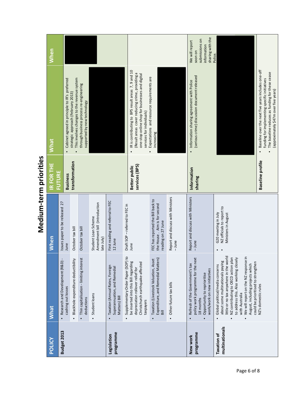| POLICY                               | <b>What</b>                                                                                                                                                                                                                                                                                                                       | <b>When</b>                                                                             | IR FOR THE<br><b>FUTURE</b>     | <b>What</b>                                                                                                                                                                                                  | When                                                                           |
|--------------------------------------|-----------------------------------------------------------------------------------------------------------------------------------------------------------------------------------------------------------------------------------------------------------------------------------------------------------------------------------|-----------------------------------------------------------------------------------------|---------------------------------|--------------------------------------------------------------------------------------------------------------------------------------------------------------------------------------------------------------|--------------------------------------------------------------------------------|
| Budget 2013                          | Research and Development (R&D)<br>cashing out losses                                                                                                                                                                                                                                                                              | Issues paper to be released 27<br>June                                                  | <b>Business</b>                 | Cabinet agreed in principle to IR's preferred<br>$\bullet$                                                                                                                                                   |                                                                                |
|                                      | Blackhole expenditure deductibility                                                                                                                                                                                                                                                                                               | October tax bill                                                                        | transformation                  | This involves changes to the revenue system<br>strategic approach (February 2013)                                                                                                                            |                                                                                |
|                                      | Thin capitalisation - limiting interest<br>deductions                                                                                                                                                                                                                                                                             | October tax bill                                                                        |                                 | through business process re-engineering<br>supported by new technology                                                                                                                                       |                                                                                |
|                                      | Student loans                                                                                                                                                                                                                                                                                                                     | Amendment bill (introduction<br>Student Loan Scheme<br>late July)                       |                                 |                                                                                                                                                                                                              |                                                                                |
| programme<br>Legislation             | Taxation (Annual Rates, Foreign<br>Superannuation, and Remedial<br>Matters) Bill<br>$\bullet$                                                                                                                                                                                                                                     | First reading and referral to FEC<br>12 June                                            |                                 |                                                                                                                                                                                                              |                                                                                |
|                                      | $\overline{c}$<br>be inserted into this Bill regarding<br>Supplementary Order Paper (SOP)<br>Christchurch earthquake-affected<br>depreciation rollover relief for<br>taxpayers                                                                                                                                                    | Draft SOP - referred to FEC in<br>June                                                  | services (BPS)<br>Better public | IR is contributing to BPS result areas 7, 9 and 10<br>(Result areas cover reducing crime, providing a<br>one-stop online shop for businesses and digital<br>services for individuals)<br>$\bullet$           |                                                                                |
|                                      | Expenditure, and Remedial Matters)<br>Taxation (Livestock Valuation, Asset<br>Bill<br>$\bullet$                                                                                                                                                                                                                                   | FEC has reported the Bill back to<br>the House. Aim is for second<br>reading on 27 June |                                 | Expectations and resource requirements are<br>increasing                                                                                                                                                     |                                                                                |
|                                      | • Other future tax bills                                                                                                                                                                                                                                                                                                          | Report and discuss with Ministers<br>$-l$ une                                           |                                 |                                                                                                                                                                                                              |                                                                                |
| programme<br>New work                | policy work programme for the next<br>Refresh of the Government's tax<br>work/work on new initiatives<br>Opportunity to reprioritise<br>18 months<br>$\bullet$                                                                                                                                                                    | Report and discuss with Ministers<br>$-l$ une                                           | Information<br><b>sharing</b>   | (serious crime) discussion document released<br>Information sharing agreement with Police                                                                                                                    | sharing with the<br>submissions on<br>We will report<br>information<br>soon on |
| multinationals<br><b>Taxation of</b> | little or no tax anywhere in the world<br>We will report on the NZ response in<br>NZ contributing to OECD action plan<br>to address this. Also working closely<br>about some multinationals paying<br>could be prioritised to strengthen<br>August, including projects which<br>Global political/media concerns<br>with Australia | NZ officials to report to<br>G20 meeting in July<br>Ministers in August                 |                                 |                                                                                                                                                                                                              | Police.                                                                        |
|                                      | NZ's domestic rules                                                                                                                                                                                                                                                                                                               |                                                                                         | <b>Baseline</b> profile         | Baseline over the next five years includes one-off<br>The baseline reduces as funding for these cease<br>funding for implementing specific initiatives<br>(approximately \$47m over five years)<br>$\bullet$ |                                                                                |

Medium-term priorities **Medium‐term priorities**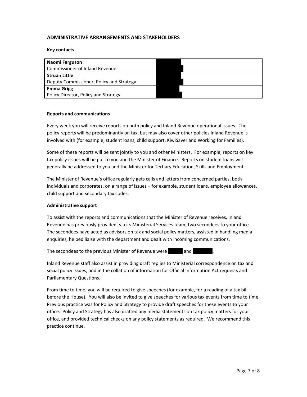### **ADMINISTRATIVE ARRANGEMENTS AND STAKEHOLDERS**

**Key contacts**

| Naomi Ferguson                           |  |
|------------------------------------------|--|
| Commissioner of Inland Revenue           |  |
| <b>Struan Little</b>                     |  |
| Deputy Commissioner, Policy and Strategy |  |
| <b>Emma Grigg</b>                        |  |
| Policy Director, Policy and Strategy     |  |

#### **Reports and communications**

Every week you will receive reports on both policy and Inland Revenue operational issues. The policy reports will be predominantly on tax, but may also cover other policies Inland Revenue is involved with (for example, student loans, child support, KiwiSaver and Working for Families).

Some of these reports will be sent jointly to you and other Ministers. For example, reports on key tax policy issues will be put to you and the Minister of Finance. Reports on student loans will generally be addressed to you and the Minister for Tertiary Education, Skills and Employment.

The Minister of Revenue's office regularly gets calls and letters from concerned parties, both individuals and corporates, on a range of issues – for example, student loans, employee allowances, child support and secondary tax codes.

#### **Administrative support**

To assist with the reports and communications that the Minister of Revenue receives, Inland Revenue has previously provided, via its Ministerial Services team, two secondees to your office. The secondees have acted as advisors on tax and social policy matters, assisted in handling media enquiries, helped liaise with the department and dealt with incoming communications.

The secondees to the previous Minister of Revenue were ........... and ................

Inland Revenue staff also assist in providing draft replies to Ministerial correspondence on tax and social policy issues, and in the collation of information for Official Information Act requests and Parliamentary Questions.

From time to time, you will be required to give speeches (for example, for a reading of a tax bill before the House). You will also be invited to give speeches for various tax events from time to time. Previous practice was for Policy and Strategy to provide draft speeches for these events to your office. Policy and Strategy has also drafted any media statements on tax policy matters for your office, and provided technical checks on any policy statements as required. We recommend this practice continue.